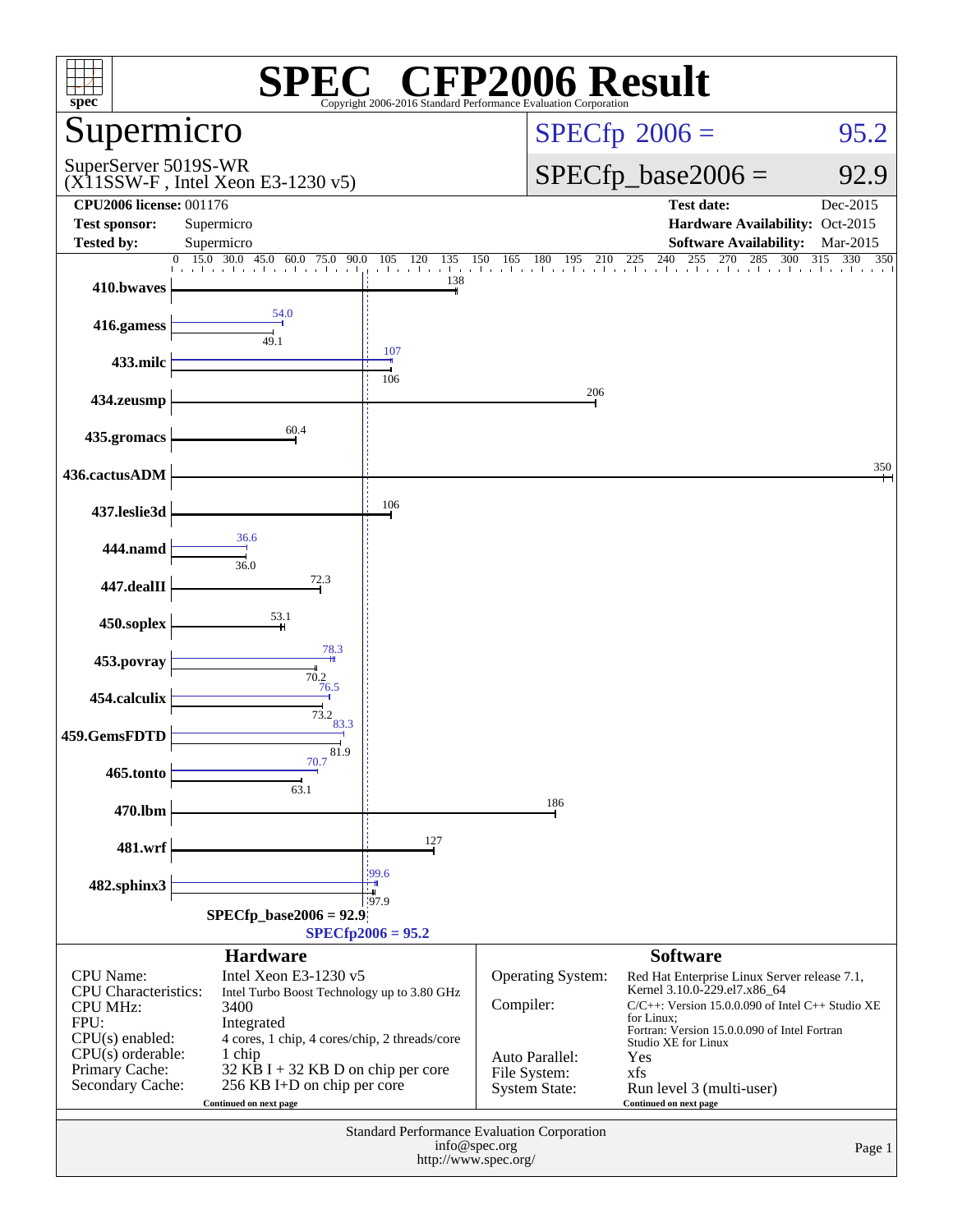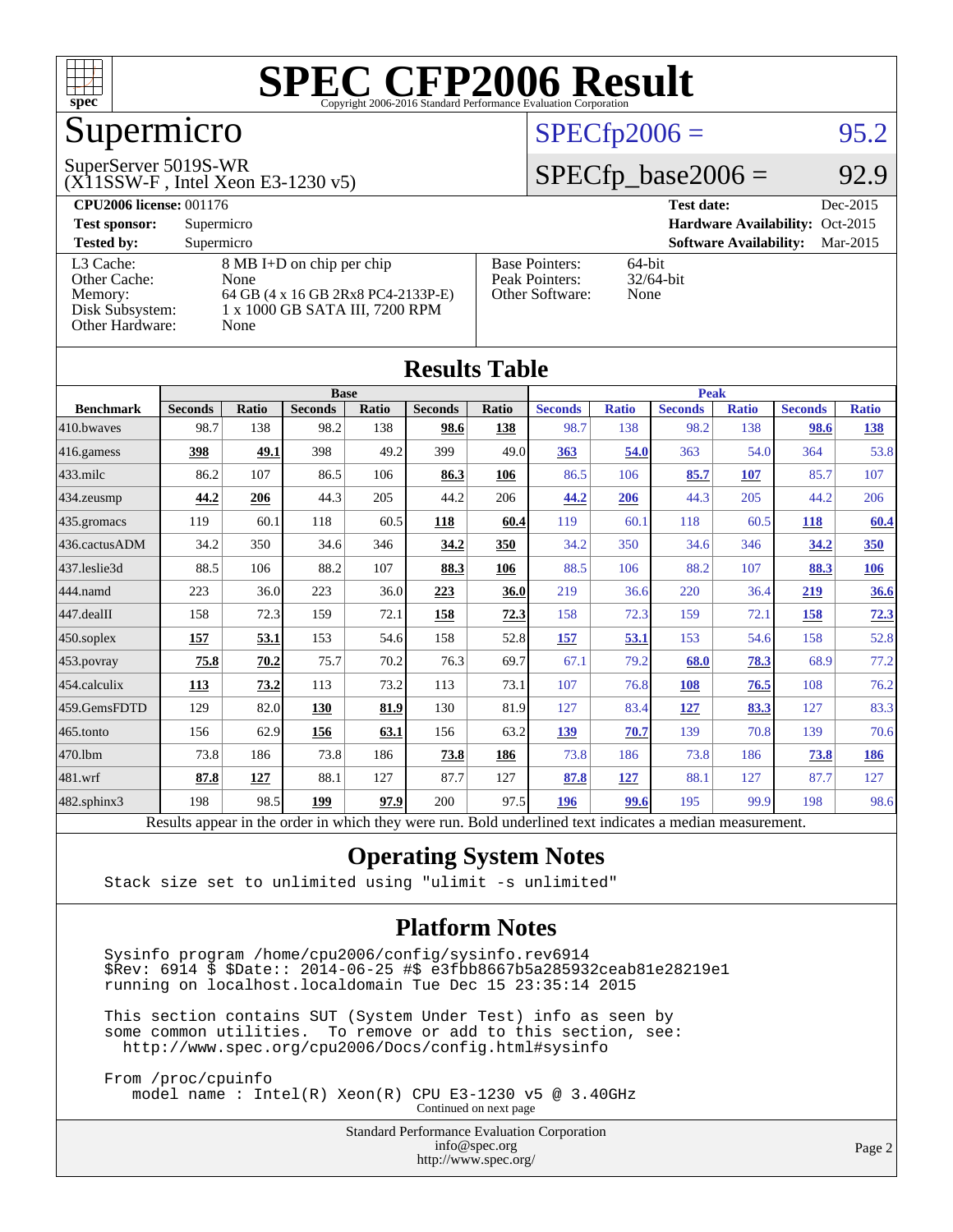

# Supermicro

#### SuperServer 5019S-WR

(X11SSW-F , Intel Xeon E3-1230 v5)

### $SPECfp2006 = 95.2$  $SPECfp2006 = 95.2$

### $SPECfp\_base2006 = 92.9$

| <b>CPU2006 license: 001176</b> |                                    |                       | <b>Test date:</b><br>Dec-2015             |  |  |  |
|--------------------------------|------------------------------------|-----------------------|-------------------------------------------|--|--|--|
| <b>Test sponsor:</b>           | Supermicro                         |                       | Hardware Availability: Oct-2015           |  |  |  |
| <b>Tested by:</b>              | Supermicro                         |                       | <b>Software Availability:</b><br>Mar-2015 |  |  |  |
| L3 Cache:                      | 8 MB I+D on chip per chip          | <b>Base Pointers:</b> | $64$ -bit                                 |  |  |  |
| Other Cache:                   | None                               | Peak Pointers:        | $32/64$ -bit                              |  |  |  |
| Memory:                        | 64 GB (4 x 16 GB 2Rx8 PC4-2133P-E) | Other Software:       | None                                      |  |  |  |
| Disk Subsystem:                | 1 x 1000 GB SATA III, 7200 RPM     |                       |                                           |  |  |  |
| Other Hardware:                | None                               |                       |                                           |  |  |  |

**[Results Table](http://www.spec.org/auto/cpu2006/Docs/result-fields.html#ResultsTable)**

| Results i adie   |                                                                                                          |              |                |       |                |       |                |              |                |              |                |              |
|------------------|----------------------------------------------------------------------------------------------------------|--------------|----------------|-------|----------------|-------|----------------|--------------|----------------|--------------|----------------|--------------|
|                  | <b>Base</b>                                                                                              |              |                |       | Peak           |       |                |              |                |              |                |              |
| <b>Benchmark</b> | <b>Seconds</b>                                                                                           | <b>Ratio</b> | <b>Seconds</b> | Ratio | <b>Seconds</b> | Ratio | <b>Seconds</b> | <b>Ratio</b> | <b>Seconds</b> | <b>Ratio</b> | <b>Seconds</b> | <b>Ratio</b> |
| 410.bwayes       | 98.7                                                                                                     | 138          | 98.2           | 138   | 98.6           | 138   | 98.7           | 138          | 98.2           | 138          | 98.6           | <u>138</u>   |
| 416.gamess       | 398                                                                                                      | 49.1         | 398            | 49.2  | 399            | 49.0  | 363            | 54.0         | 363            | 54.0         | 364            | 53.8         |
| $433$ .milc      | 86.2                                                                                                     | 107          | 86.5           | 106   | 86.3           | 106   | 86.5           | 106          | 85.7           | 107          | 85.7           | 107          |
| 434.zeusmp       | 44.2                                                                                                     | 206          | 44.3           | 205   | 44.2           | 206   | 44.2           | 206          | 44.3           | 205          | 44.2           | 206          |
| 435 gromacs      | 119                                                                                                      | 60.1         | 118            | 60.5  | 118            | 60.4  | 119            | 60.1         | 118            | 60.5         | 118            | 60.4         |
| 436.cactusADM    | 34.2                                                                                                     | 350          | 34.6           | 346   | 34.2           | 350   | 34.2           | 350          | 34.6           | 346          | 34.2           | 350          |
| 437.leslie3d     | 88.5                                                                                                     | 106          | 88.2           | 107   | 88.3           | 106   | 88.5           | 106          | 88.2           | 107          | 88.3           | <u>106</u>   |
| 444.namd         | 223                                                                                                      | 36.0         | 223            | 36.0  | 223            | 36.0  | 219            | 36.6         | 220            | 36.4         | 219            | 36.6         |
| 447.dealII       | 158                                                                                                      | 72.3         | 159            | 72.1  | 158            | 72.3  | 158            | 72.3         | 159            | 72.1         | 158            | 72.3         |
| $450$ .soplex    | 157                                                                                                      | 53.1         | 153            | 54.6  | 158            | 52.8  | <u>157</u>     | 53.1         | 153            | 54.6         | 158            | 52.8         |
| 453.povray       | 75.8                                                                                                     | 70.2         | 75.7           | 70.2  | 76.3           | 69.7  | 67.1           | 79.2         | 68.0           | 78.3         | 68.9           | 77.2         |
| 454.calculix     | 113                                                                                                      | 73.2         | 113            | 73.2  | 113            | 73.1  | 107            | 76.8         | 108            | 76.5         | 108            | 76.2         |
| 459.GemsFDTD     | 129                                                                                                      | 82.0         | 130            | 81.9  | 130            | 81.9  | 127            | 83.4         | 127            | 83.3         | 127            | 83.3         |
| 465.tonto        | 156                                                                                                      | 62.9         | 156            | 63.1  | 156            | 63.2  | 139            | 70.7         | 139            | 70.8         | 139            | 70.6         |
| 470.1bm          | 73.8                                                                                                     | 186          | 73.8           | 186   | 73.8           | 186   | 73.8           | 186          | 73.8           | 186          | 73.8           | 186          |
| 481.wrf          | 87.8                                                                                                     | 127          | 88.1           | 127   | 87.7           | 127   | 87.8           | <u>127</u>   | 88.1           | 127          | 87.7           | 127          |
| 482.sphinx3      | 198                                                                                                      | 98.5         | 199            | 97.9  | 200            | 97.5  | 196            | 99.6         | 195            | 99.9         | 198            | 98.6         |
|                  | Results appear in the order in which they were run. Bold underlined text indicates a median measurement. |              |                |       |                |       |                |              |                |              |                |              |

### **[Operating System Notes](http://www.spec.org/auto/cpu2006/Docs/result-fields.html#OperatingSystemNotes)**

Stack size set to unlimited using "ulimit -s unlimited"

### **[Platform Notes](http://www.spec.org/auto/cpu2006/Docs/result-fields.html#PlatformNotes)**

 Sysinfo program /home/cpu2006/config/sysinfo.rev6914 \$Rev: 6914 \$ \$Date:: 2014-06-25 #\$ e3fbb8667b5a285932ceab81e28219e1 running on localhost.localdomain Tue Dec 15 23:35:14 2015

 This section contains SUT (System Under Test) info as seen by some common utilities. To remove or add to this section, see: <http://www.spec.org/cpu2006/Docs/config.html#sysinfo>

 From /proc/cpuinfo model name : Intel(R) Xeon(R) CPU E3-1230 v5 @ 3.40GHz Continued on next page

> Standard Performance Evaluation Corporation [info@spec.org](mailto:info@spec.org) <http://www.spec.org/>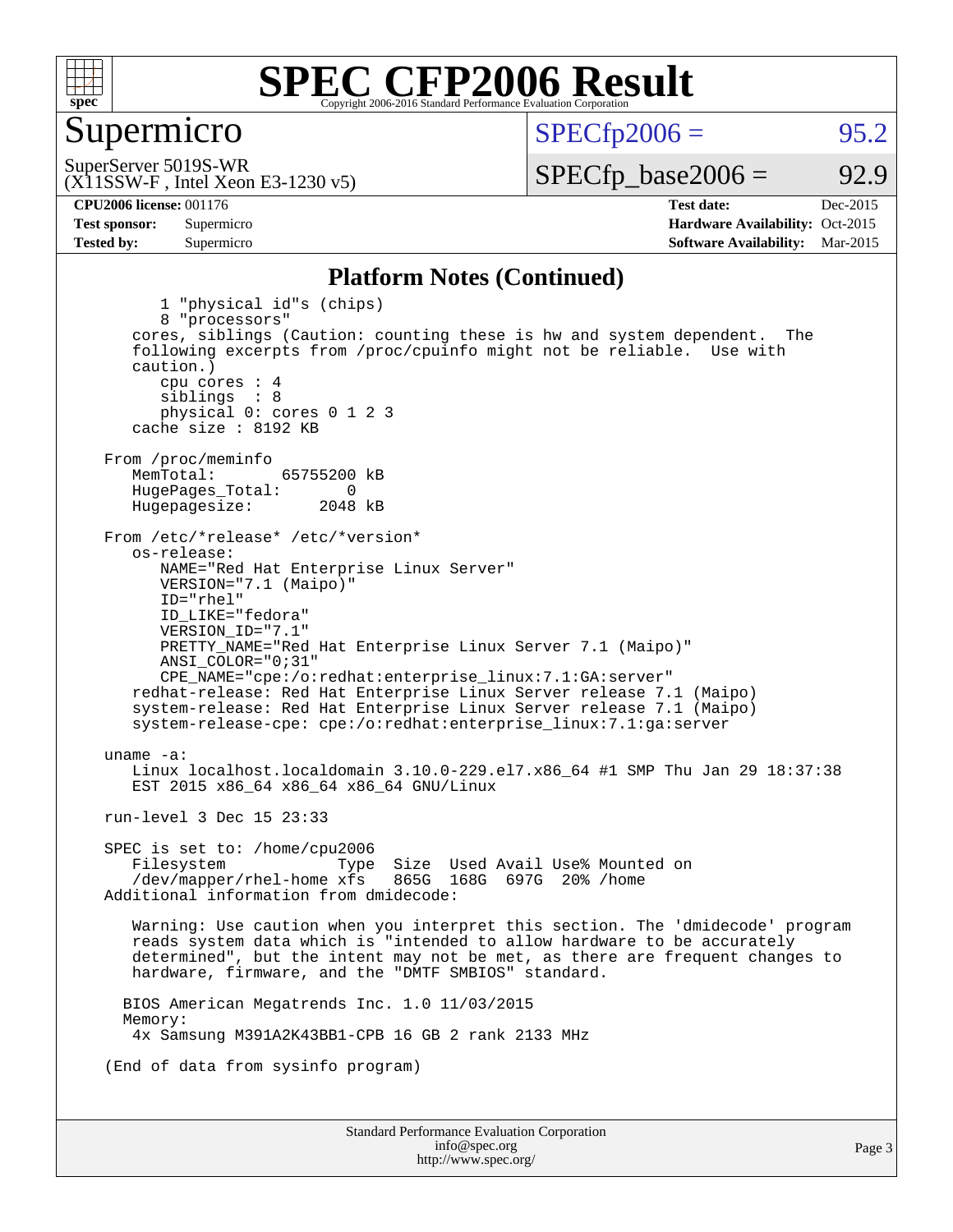

### Supermicro

 $SPECTp2006 = 95.2$ 

(X11SSW-F , Intel Xeon E3-1230 v5) SuperServer 5019S-WR

 $SPECTp\_base2006 = 92.9$ 

**[CPU2006 license:](http://www.spec.org/auto/cpu2006/Docs/result-fields.html#CPU2006license)** 001176 **[Test date:](http://www.spec.org/auto/cpu2006/Docs/result-fields.html#Testdate)** Dec-2015 **[Test sponsor:](http://www.spec.org/auto/cpu2006/Docs/result-fields.html#Testsponsor)** Supermicro Supermicro **[Hardware Availability:](http://www.spec.org/auto/cpu2006/Docs/result-fields.html#HardwareAvailability)** Oct-2015 **[Tested by:](http://www.spec.org/auto/cpu2006/Docs/result-fields.html#Testedby)** Supermicro **Supermicro [Software Availability:](http://www.spec.org/auto/cpu2006/Docs/result-fields.html#SoftwareAvailability)** Mar-2015

#### **[Platform Notes \(Continued\)](http://www.spec.org/auto/cpu2006/Docs/result-fields.html#PlatformNotes)**

Standard Performance Evaluation Corporation [info@spec.org](mailto:info@spec.org) 1 "physical id"s (chips) 8 "processors" cores, siblings (Caution: counting these is hw and system dependent. The following excerpts from /proc/cpuinfo might not be reliable. Use with caution.) cpu cores : 4 siblings : 8 physical 0: cores 0 1 2 3 cache size : 8192 KB From /proc/meminfo<br>MemTotal: 65755200 kB HugePages\_Total: 0<br>Hugepagesize: 2048 kB Hugepagesize: From /etc/\*release\* /etc/\*version\* os-release: NAME="Red Hat Enterprise Linux Server" VERSION="7.1 (Maipo)" ID="rhel" ID\_LIKE="fedora" VERSION\_ID="7.1" PRETTY\_NAME="Red Hat Enterprise Linux Server 7.1 (Maipo)" ANSI\_COLOR="0;31" CPE\_NAME="cpe:/o:redhat:enterprise\_linux:7.1:GA:server" redhat-release: Red Hat Enterprise Linux Server release 7.1 (Maipo) system-release: Red Hat Enterprise Linux Server release 7.1 (Maipo) system-release-cpe: cpe:/o:redhat:enterprise\_linux:7.1:ga:server uname -a: Linux localhost.localdomain 3.10.0-229.el7.x86\_64 #1 SMP Thu Jan 29 18:37:38 EST 2015 x86\_64 x86\_64 x86\_64 GNU/Linux run-level 3 Dec 15 23:33 SPEC is set to: /home/cpu2006 Filesystem Type Size Used Avail Use% Mounted on<br>/dev/mapper/rhel-home xfs 865G 168G 697G 20% /home  $/$ dev/mapper/rhel-home  $x$ fs Additional information from dmidecode: Warning: Use caution when you interpret this section. The 'dmidecode' program reads system data which is "intended to allow hardware to be accurately determined", but the intent may not be met, as there are frequent changes to hardware, firmware, and the "DMTF SMBIOS" standard. BIOS American Megatrends Inc. 1.0 11/03/2015 Memory: 4x Samsung M391A2K43BB1-CPB 16 GB 2 rank 2133 MHz (End of data from sysinfo program)

<http://www.spec.org/>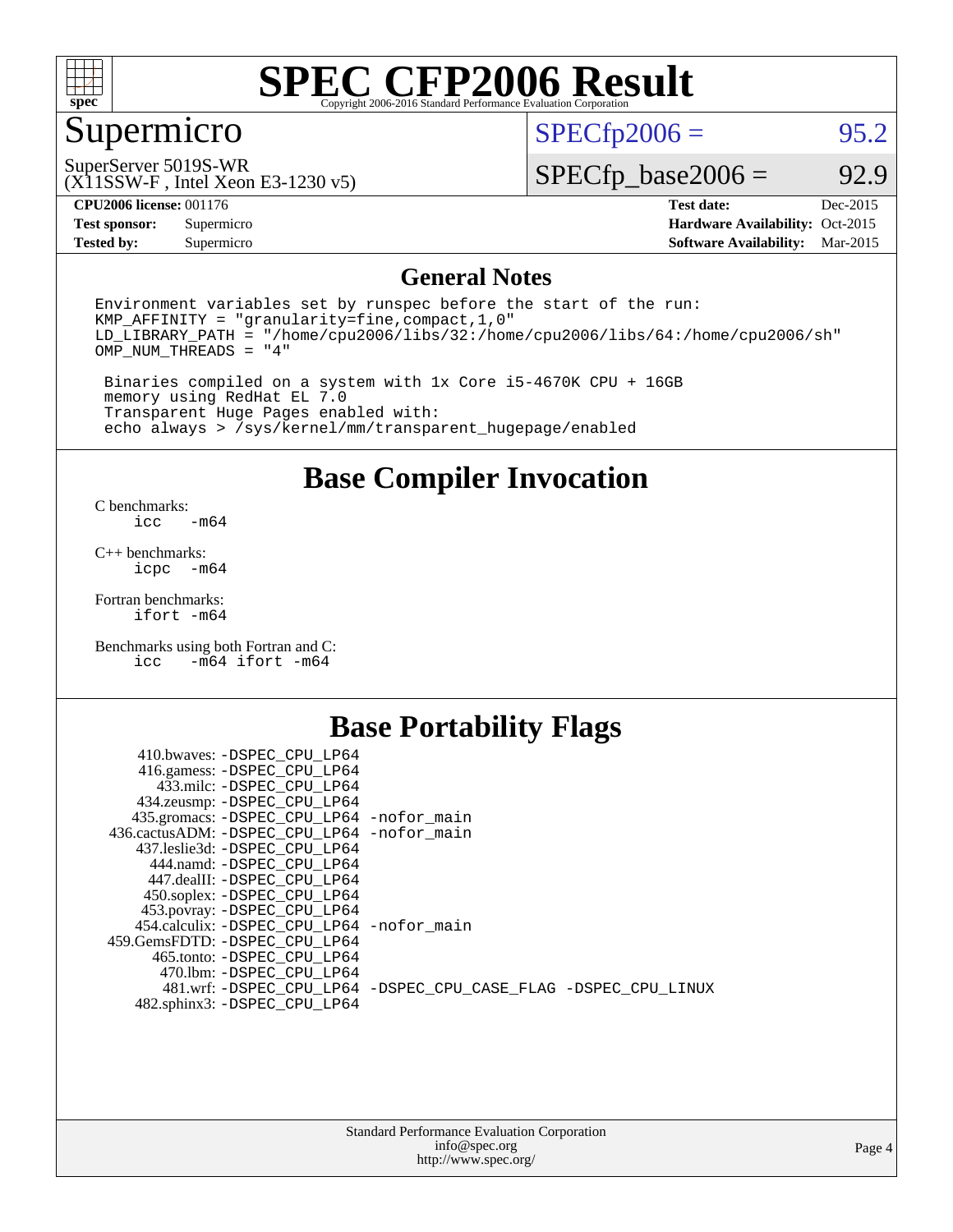

# Supermicro

 $SPECfp2006 = 95.2$  $SPECfp2006 = 95.2$ 

(X11SSW-F , Intel Xeon E3-1230 v5) SuperServer 5019S-WR

 $SPECfp\_base2006 = 92.9$ 

**[CPU2006 license:](http://www.spec.org/auto/cpu2006/Docs/result-fields.html#CPU2006license)** 001176 **[Test date:](http://www.spec.org/auto/cpu2006/Docs/result-fields.html#Testdate)** Dec-2015

**[Tested by:](http://www.spec.org/auto/cpu2006/Docs/result-fields.html#Testedby)** Supermicro **[Software Availability:](http://www.spec.org/auto/cpu2006/Docs/result-fields.html#SoftwareAvailability)** Mar-2015

**[Test sponsor:](http://www.spec.org/auto/cpu2006/Docs/result-fields.html#Testsponsor)** Supermicro Supermicro **[Hardware Availability:](http://www.spec.org/auto/cpu2006/Docs/result-fields.html#HardwareAvailability)** Oct-2015

### **[General Notes](http://www.spec.org/auto/cpu2006/Docs/result-fields.html#GeneralNotes)**

Environment variables set by runspec before the start of the run: KMP\_AFFINITY = "granularity=fine,compact,1,0" LD\_LIBRARY\_PATH = "/home/cpu2006/libs/32:/home/cpu2006/libs/64:/home/cpu2006/sh" OMP\_NUM\_THREADS = "4"

 Binaries compiled on a system with 1x Core i5-4670K CPU + 16GB memory using RedHat EL 7.0 Transparent Huge Pages enabled with: echo always > /sys/kernel/mm/transparent\_hugepage/enabled

### **[Base Compiler Invocation](http://www.spec.org/auto/cpu2006/Docs/result-fields.html#BaseCompilerInvocation)**

[C benchmarks](http://www.spec.org/auto/cpu2006/Docs/result-fields.html#Cbenchmarks):  $-m64$ 

[C++ benchmarks:](http://www.spec.org/auto/cpu2006/Docs/result-fields.html#CXXbenchmarks) [icpc -m64](http://www.spec.org/cpu2006/results/res2016q1/cpu2006-20151217-38471.flags.html#user_CXXbase_intel_icpc_64bit_bedb90c1146cab66620883ef4f41a67e)

[Fortran benchmarks](http://www.spec.org/auto/cpu2006/Docs/result-fields.html#Fortranbenchmarks): [ifort -m64](http://www.spec.org/cpu2006/results/res2016q1/cpu2006-20151217-38471.flags.html#user_FCbase_intel_ifort_64bit_ee9d0fb25645d0210d97eb0527dcc06e)

[Benchmarks using both Fortran and C](http://www.spec.org/auto/cpu2006/Docs/result-fields.html#BenchmarksusingbothFortranandC): [icc -m64](http://www.spec.org/cpu2006/results/res2016q1/cpu2006-20151217-38471.flags.html#user_CC_FCbase_intel_icc_64bit_0b7121f5ab7cfabee23d88897260401c) [ifort -m64](http://www.spec.org/cpu2006/results/res2016q1/cpu2006-20151217-38471.flags.html#user_CC_FCbase_intel_ifort_64bit_ee9d0fb25645d0210d97eb0527dcc06e)

## **[Base Portability Flags](http://www.spec.org/auto/cpu2006/Docs/result-fields.html#BasePortabilityFlags)**

| 410.bwaves: -DSPEC CPU LP64                 |                                                                |
|---------------------------------------------|----------------------------------------------------------------|
| 416.gamess: -DSPEC_CPU_LP64                 |                                                                |
| 433.milc: -DSPEC CPU LP64                   |                                                                |
| 434.zeusmp: -DSPEC_CPU_LP64                 |                                                                |
| 435.gromacs: -DSPEC_CPU_LP64 -nofor_main    |                                                                |
| 436.cactusADM: -DSPEC CPU LP64 -nofor main  |                                                                |
| 437.leslie3d: -DSPEC CPU LP64               |                                                                |
| 444.namd: -DSPEC CPU LP64                   |                                                                |
| 447.dealII: -DSPEC CPU LP64                 |                                                                |
| 450.soplex: -DSPEC_CPU_LP64                 |                                                                |
| 453.povray: -DSPEC_CPU_LP64                 |                                                                |
| 454.calculix: - DSPEC CPU LP64 - nofor main |                                                                |
| 459. GemsFDTD: - DSPEC CPU LP64             |                                                                |
| 465.tonto: - DSPEC CPU LP64                 |                                                                |
| 470.1bm: - DSPEC CPU LP64                   |                                                                |
|                                             | 481.wrf: -DSPEC_CPU_LP64 -DSPEC_CPU_CASE_FLAG -DSPEC_CPU_LINUX |
| 482.sphinx3: -DSPEC_CPU_LP64                |                                                                |
|                                             |                                                                |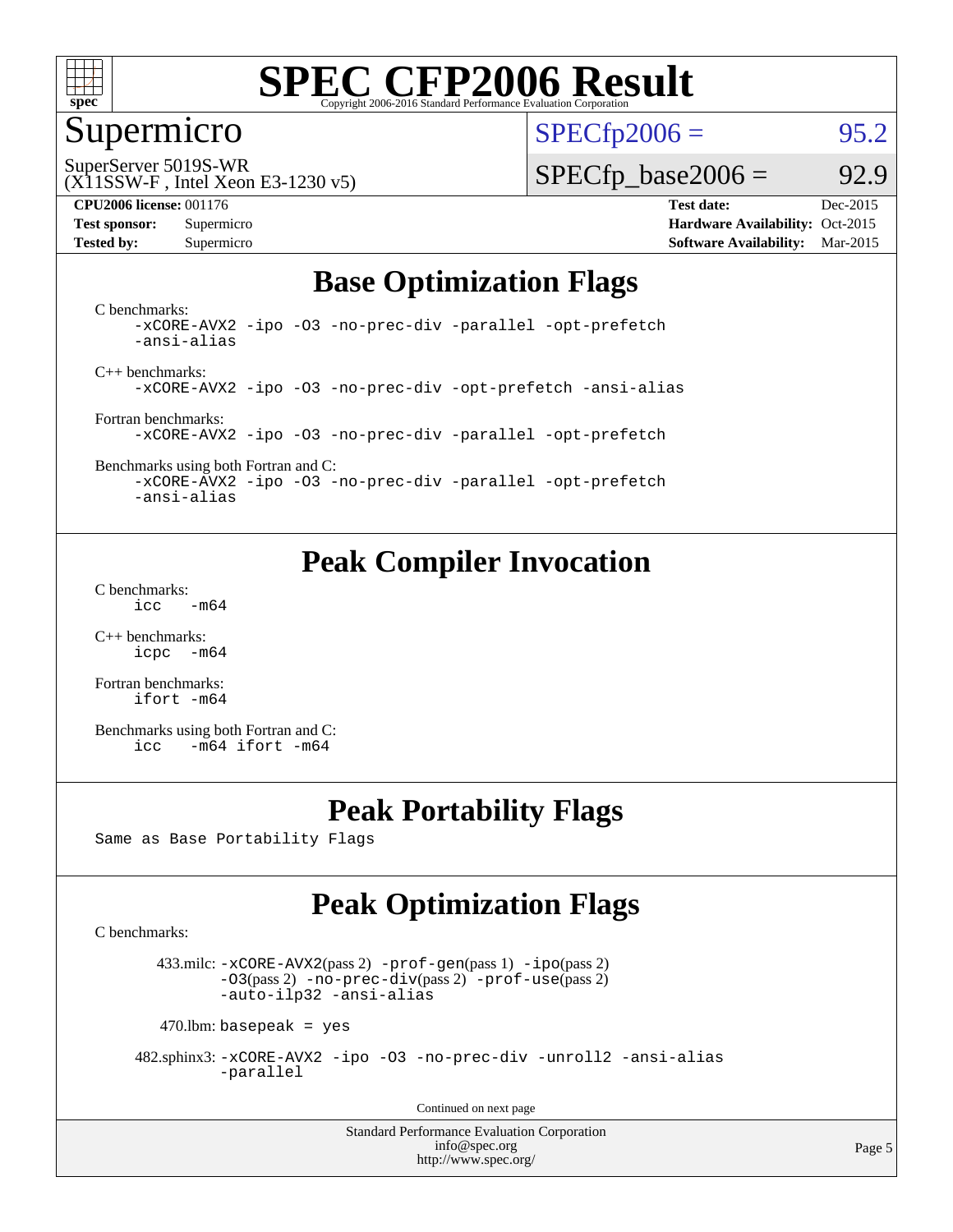

### Supermicro

 $SPECTp2006 = 95.2$ 

SuperServer 5019S-WR

### (X11SSW-F , Intel Xeon E3-1230 v5)

 $SPECTp\_base2006 = 92.9$ 

**[CPU2006 license:](http://www.spec.org/auto/cpu2006/Docs/result-fields.html#CPU2006license)** 001176 **[Test date:](http://www.spec.org/auto/cpu2006/Docs/result-fields.html#Testdate)** Dec-2015 **[Test sponsor:](http://www.spec.org/auto/cpu2006/Docs/result-fields.html#Testsponsor)** Supermicro Supermicro **[Hardware Availability:](http://www.spec.org/auto/cpu2006/Docs/result-fields.html#HardwareAvailability)** Oct-2015 **[Tested by:](http://www.spec.org/auto/cpu2006/Docs/result-fields.html#Testedby)** Supermicro **Supermicro [Software Availability:](http://www.spec.org/auto/cpu2006/Docs/result-fields.html#SoftwareAvailability)** Mar-2015

## **[Base Optimization Flags](http://www.spec.org/auto/cpu2006/Docs/result-fields.html#BaseOptimizationFlags)**

[C benchmarks](http://www.spec.org/auto/cpu2006/Docs/result-fields.html#Cbenchmarks): [-xCORE-AVX2](http://www.spec.org/cpu2006/results/res2016q1/cpu2006-20151217-38471.flags.html#user_CCbase_f-xAVX2_5f5fc0cbe2c9f62c816d3e45806c70d7) [-ipo](http://www.spec.org/cpu2006/results/res2016q1/cpu2006-20151217-38471.flags.html#user_CCbase_f-ipo) [-O3](http://www.spec.org/cpu2006/results/res2016q1/cpu2006-20151217-38471.flags.html#user_CCbase_f-O3) [-no-prec-div](http://www.spec.org/cpu2006/results/res2016q1/cpu2006-20151217-38471.flags.html#user_CCbase_f-no-prec-div) [-parallel](http://www.spec.org/cpu2006/results/res2016q1/cpu2006-20151217-38471.flags.html#user_CCbase_f-parallel) [-opt-prefetch](http://www.spec.org/cpu2006/results/res2016q1/cpu2006-20151217-38471.flags.html#user_CCbase_f-opt-prefetch) [-ansi-alias](http://www.spec.org/cpu2006/results/res2016q1/cpu2006-20151217-38471.flags.html#user_CCbase_f-ansi-alias)

[C++ benchmarks:](http://www.spec.org/auto/cpu2006/Docs/result-fields.html#CXXbenchmarks) [-xCORE-AVX2](http://www.spec.org/cpu2006/results/res2016q1/cpu2006-20151217-38471.flags.html#user_CXXbase_f-xAVX2_5f5fc0cbe2c9f62c816d3e45806c70d7) [-ipo](http://www.spec.org/cpu2006/results/res2016q1/cpu2006-20151217-38471.flags.html#user_CXXbase_f-ipo) [-O3](http://www.spec.org/cpu2006/results/res2016q1/cpu2006-20151217-38471.flags.html#user_CXXbase_f-O3) [-no-prec-div](http://www.spec.org/cpu2006/results/res2016q1/cpu2006-20151217-38471.flags.html#user_CXXbase_f-no-prec-div) [-opt-prefetch](http://www.spec.org/cpu2006/results/res2016q1/cpu2006-20151217-38471.flags.html#user_CXXbase_f-opt-prefetch) [-ansi-alias](http://www.spec.org/cpu2006/results/res2016q1/cpu2006-20151217-38471.flags.html#user_CXXbase_f-ansi-alias)

[Fortran benchmarks](http://www.spec.org/auto/cpu2006/Docs/result-fields.html#Fortranbenchmarks): [-xCORE-AVX2](http://www.spec.org/cpu2006/results/res2016q1/cpu2006-20151217-38471.flags.html#user_FCbase_f-xAVX2_5f5fc0cbe2c9f62c816d3e45806c70d7) [-ipo](http://www.spec.org/cpu2006/results/res2016q1/cpu2006-20151217-38471.flags.html#user_FCbase_f-ipo) [-O3](http://www.spec.org/cpu2006/results/res2016q1/cpu2006-20151217-38471.flags.html#user_FCbase_f-O3) [-no-prec-div](http://www.spec.org/cpu2006/results/res2016q1/cpu2006-20151217-38471.flags.html#user_FCbase_f-no-prec-div) [-parallel](http://www.spec.org/cpu2006/results/res2016q1/cpu2006-20151217-38471.flags.html#user_FCbase_f-parallel) [-opt-prefetch](http://www.spec.org/cpu2006/results/res2016q1/cpu2006-20151217-38471.flags.html#user_FCbase_f-opt-prefetch)

[Benchmarks using both Fortran and C](http://www.spec.org/auto/cpu2006/Docs/result-fields.html#BenchmarksusingbothFortranandC): [-xCORE-AVX2](http://www.spec.org/cpu2006/results/res2016q1/cpu2006-20151217-38471.flags.html#user_CC_FCbase_f-xAVX2_5f5fc0cbe2c9f62c816d3e45806c70d7) [-ipo](http://www.spec.org/cpu2006/results/res2016q1/cpu2006-20151217-38471.flags.html#user_CC_FCbase_f-ipo) [-O3](http://www.spec.org/cpu2006/results/res2016q1/cpu2006-20151217-38471.flags.html#user_CC_FCbase_f-O3) [-no-prec-div](http://www.spec.org/cpu2006/results/res2016q1/cpu2006-20151217-38471.flags.html#user_CC_FCbase_f-no-prec-div) [-parallel](http://www.spec.org/cpu2006/results/res2016q1/cpu2006-20151217-38471.flags.html#user_CC_FCbase_f-parallel) [-opt-prefetch](http://www.spec.org/cpu2006/results/res2016q1/cpu2006-20151217-38471.flags.html#user_CC_FCbase_f-opt-prefetch)

[-ansi-alias](http://www.spec.org/cpu2006/results/res2016q1/cpu2006-20151217-38471.flags.html#user_CC_FCbase_f-ansi-alias)

# **[Peak Compiler Invocation](http://www.spec.org/auto/cpu2006/Docs/result-fields.html#PeakCompilerInvocation)**

[C benchmarks](http://www.spec.org/auto/cpu2006/Docs/result-fields.html#Cbenchmarks):  $\text{icc}$  -m64

[C++ benchmarks:](http://www.spec.org/auto/cpu2006/Docs/result-fields.html#CXXbenchmarks) [icpc -m64](http://www.spec.org/cpu2006/results/res2016q1/cpu2006-20151217-38471.flags.html#user_CXXpeak_intel_icpc_64bit_bedb90c1146cab66620883ef4f41a67e)

[Fortran benchmarks](http://www.spec.org/auto/cpu2006/Docs/result-fields.html#Fortranbenchmarks): [ifort -m64](http://www.spec.org/cpu2006/results/res2016q1/cpu2006-20151217-38471.flags.html#user_FCpeak_intel_ifort_64bit_ee9d0fb25645d0210d97eb0527dcc06e)

[Benchmarks using both Fortran and C](http://www.spec.org/auto/cpu2006/Docs/result-fields.html#BenchmarksusingbothFortranandC): [icc -m64](http://www.spec.org/cpu2006/results/res2016q1/cpu2006-20151217-38471.flags.html#user_CC_FCpeak_intel_icc_64bit_0b7121f5ab7cfabee23d88897260401c) [ifort -m64](http://www.spec.org/cpu2006/results/res2016q1/cpu2006-20151217-38471.flags.html#user_CC_FCpeak_intel_ifort_64bit_ee9d0fb25645d0210d97eb0527dcc06e)

## **[Peak Portability Flags](http://www.spec.org/auto/cpu2006/Docs/result-fields.html#PeakPortabilityFlags)**

Same as Base Portability Flags

# **[Peak Optimization Flags](http://www.spec.org/auto/cpu2006/Docs/result-fields.html#PeakOptimizationFlags)**

[C benchmarks](http://www.spec.org/auto/cpu2006/Docs/result-fields.html#Cbenchmarks):

 433.milc: [-xCORE-AVX2](http://www.spec.org/cpu2006/results/res2016q1/cpu2006-20151217-38471.flags.html#user_peakPASS2_CFLAGSPASS2_LDFLAGS433_milc_f-xAVX2_5f5fc0cbe2c9f62c816d3e45806c70d7)(pass 2) [-prof-gen](http://www.spec.org/cpu2006/results/res2016q1/cpu2006-20151217-38471.flags.html#user_peakPASS1_CFLAGSPASS1_LDFLAGS433_milc_prof_gen_e43856698f6ca7b7e442dfd80e94a8fc)(pass 1) [-ipo](http://www.spec.org/cpu2006/results/res2016q1/cpu2006-20151217-38471.flags.html#user_peakPASS2_CFLAGSPASS2_LDFLAGS433_milc_f-ipo)(pass 2) [-O3](http://www.spec.org/cpu2006/results/res2016q1/cpu2006-20151217-38471.flags.html#user_peakPASS2_CFLAGSPASS2_LDFLAGS433_milc_f-O3)(pass 2) [-no-prec-div](http://www.spec.org/cpu2006/results/res2016q1/cpu2006-20151217-38471.flags.html#user_peakPASS2_CFLAGSPASS2_LDFLAGS433_milc_f-no-prec-div)(pass 2) [-prof-use](http://www.spec.org/cpu2006/results/res2016q1/cpu2006-20151217-38471.flags.html#user_peakPASS2_CFLAGSPASS2_LDFLAGS433_milc_prof_use_bccf7792157ff70d64e32fe3e1250b55)(pass 2) [-auto-ilp32](http://www.spec.org/cpu2006/results/res2016q1/cpu2006-20151217-38471.flags.html#user_peakCOPTIMIZE433_milc_f-auto-ilp32) [-ansi-alias](http://www.spec.org/cpu2006/results/res2016q1/cpu2006-20151217-38471.flags.html#user_peakCOPTIMIZE433_milc_f-ansi-alias)

 $470$ .lbm: basepeak = yes

 482.sphinx3: [-xCORE-AVX2](http://www.spec.org/cpu2006/results/res2016q1/cpu2006-20151217-38471.flags.html#user_peakOPTIMIZE482_sphinx3_f-xAVX2_5f5fc0cbe2c9f62c816d3e45806c70d7) [-ipo](http://www.spec.org/cpu2006/results/res2016q1/cpu2006-20151217-38471.flags.html#user_peakOPTIMIZE482_sphinx3_f-ipo) [-O3](http://www.spec.org/cpu2006/results/res2016q1/cpu2006-20151217-38471.flags.html#user_peakOPTIMIZE482_sphinx3_f-O3) [-no-prec-div](http://www.spec.org/cpu2006/results/res2016q1/cpu2006-20151217-38471.flags.html#user_peakOPTIMIZE482_sphinx3_f-no-prec-div) [-unroll2](http://www.spec.org/cpu2006/results/res2016q1/cpu2006-20151217-38471.flags.html#user_peakCOPTIMIZE482_sphinx3_f-unroll_784dae83bebfb236979b41d2422d7ec2) [-ansi-alias](http://www.spec.org/cpu2006/results/res2016q1/cpu2006-20151217-38471.flags.html#user_peakCOPTIMIZE482_sphinx3_f-ansi-alias) [-parallel](http://www.spec.org/cpu2006/results/res2016q1/cpu2006-20151217-38471.flags.html#user_peakCOPTIMIZE482_sphinx3_f-parallel)

Continued on next page

Standard Performance Evaluation Corporation [info@spec.org](mailto:info@spec.org) <http://www.spec.org/>

Page 5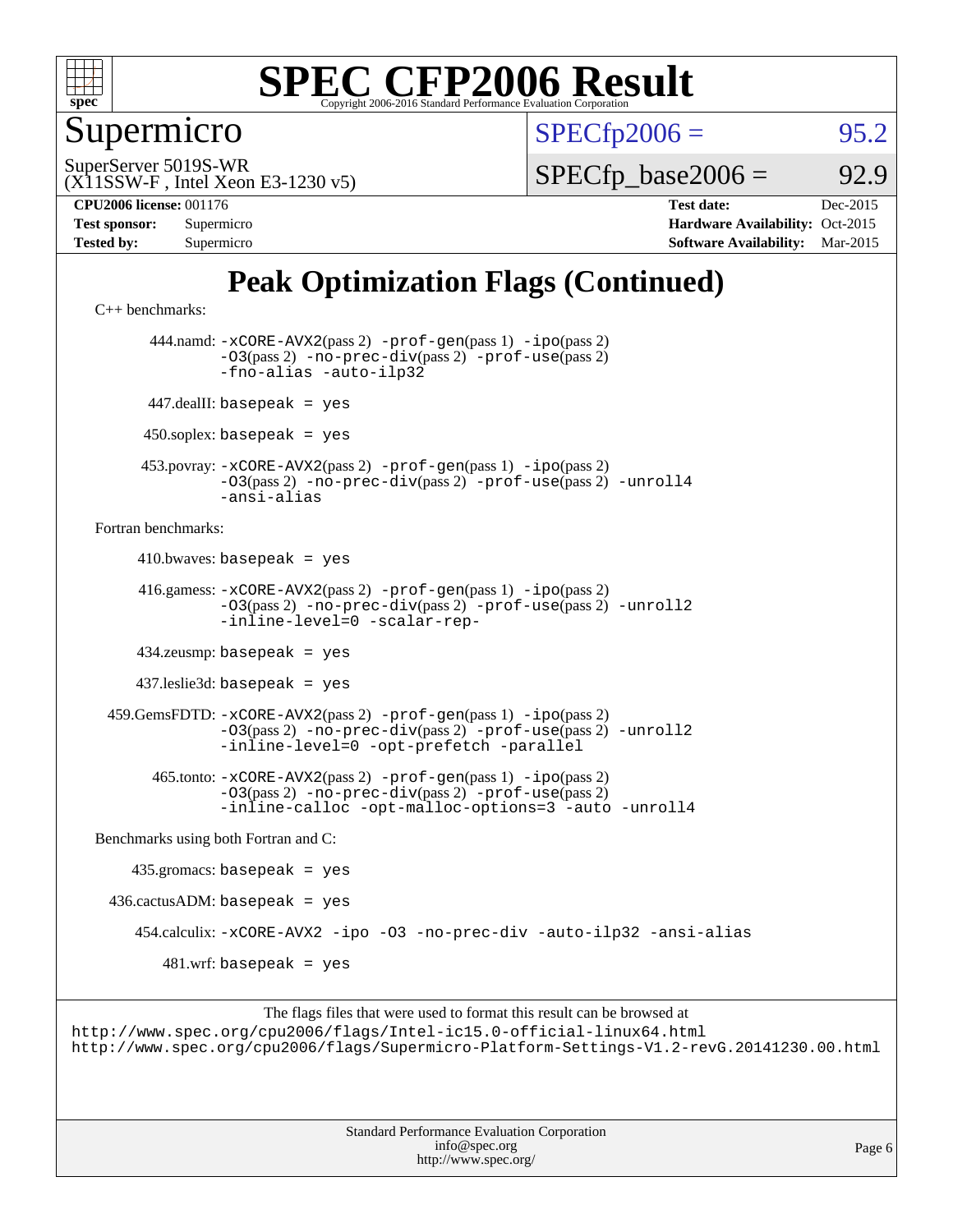

Supermicro

 $SPECTp2006 = 95.2$ 

(X11SSW-F , Intel Xeon E3-1230 v5) SuperServer 5019S-WR

 $SPECTp\_base2006 = 92.9$ 

| Test sponsor:     | Supermicro |
|-------------------|------------|
| <b>Tested by:</b> | Supermicro |

**[CPU2006 license:](http://www.spec.org/auto/cpu2006/Docs/result-fields.html#CPU2006license)** 001176 **[Test date:](http://www.spec.org/auto/cpu2006/Docs/result-fields.html#Testdate)** Dec-2015 **[Hardware Availability:](http://www.spec.org/auto/cpu2006/Docs/result-fields.html#HardwareAvailability)** Oct-2015 **[Software Availability:](http://www.spec.org/auto/cpu2006/Docs/result-fields.html#SoftwareAvailability)** Mar-2015

# **[Peak Optimization Flags \(Continued\)](http://www.spec.org/auto/cpu2006/Docs/result-fields.html#PeakOptimizationFlags)**

[C++ benchmarks:](http://www.spec.org/auto/cpu2006/Docs/result-fields.html#CXXbenchmarks)

 444.namd: [-xCORE-AVX2](http://www.spec.org/cpu2006/results/res2016q1/cpu2006-20151217-38471.flags.html#user_peakPASS2_CXXFLAGSPASS2_LDFLAGS444_namd_f-xAVX2_5f5fc0cbe2c9f62c816d3e45806c70d7)(pass 2) [-prof-gen](http://www.spec.org/cpu2006/results/res2016q1/cpu2006-20151217-38471.flags.html#user_peakPASS1_CXXFLAGSPASS1_LDFLAGS444_namd_prof_gen_e43856698f6ca7b7e442dfd80e94a8fc)(pass 1) [-ipo](http://www.spec.org/cpu2006/results/res2016q1/cpu2006-20151217-38471.flags.html#user_peakPASS2_CXXFLAGSPASS2_LDFLAGS444_namd_f-ipo)(pass 2) [-O3](http://www.spec.org/cpu2006/results/res2016q1/cpu2006-20151217-38471.flags.html#user_peakPASS2_CXXFLAGSPASS2_LDFLAGS444_namd_f-O3)(pass 2) [-no-prec-div](http://www.spec.org/cpu2006/results/res2016q1/cpu2006-20151217-38471.flags.html#user_peakPASS2_CXXFLAGSPASS2_LDFLAGS444_namd_f-no-prec-div)(pass 2) [-prof-use](http://www.spec.org/cpu2006/results/res2016q1/cpu2006-20151217-38471.flags.html#user_peakPASS2_CXXFLAGSPASS2_LDFLAGS444_namd_prof_use_bccf7792157ff70d64e32fe3e1250b55)(pass 2) [-fno-alias](http://www.spec.org/cpu2006/results/res2016q1/cpu2006-20151217-38471.flags.html#user_peakCXXOPTIMIZEOPTIMIZE444_namd_f-no-alias_694e77f6c5a51e658e82ccff53a9e63a) [-auto-ilp32](http://www.spec.org/cpu2006/results/res2016q1/cpu2006-20151217-38471.flags.html#user_peakCXXOPTIMIZE444_namd_f-auto-ilp32) 447.dealII: basepeak = yes  $450$ .soplex: basepeak = yes 453.povray: [-xCORE-AVX2](http://www.spec.org/cpu2006/results/res2016q1/cpu2006-20151217-38471.flags.html#user_peakPASS2_CXXFLAGSPASS2_LDFLAGS453_povray_f-xAVX2_5f5fc0cbe2c9f62c816d3e45806c70d7)(pass 2) [-prof-gen](http://www.spec.org/cpu2006/results/res2016q1/cpu2006-20151217-38471.flags.html#user_peakPASS1_CXXFLAGSPASS1_LDFLAGS453_povray_prof_gen_e43856698f6ca7b7e442dfd80e94a8fc)(pass 1) [-ipo](http://www.spec.org/cpu2006/results/res2016q1/cpu2006-20151217-38471.flags.html#user_peakPASS2_CXXFLAGSPASS2_LDFLAGS453_povray_f-ipo)(pass 2) [-O3](http://www.spec.org/cpu2006/results/res2016q1/cpu2006-20151217-38471.flags.html#user_peakPASS2_CXXFLAGSPASS2_LDFLAGS453_povray_f-O3)(pass 2) [-no-prec-div](http://www.spec.org/cpu2006/results/res2016q1/cpu2006-20151217-38471.flags.html#user_peakPASS2_CXXFLAGSPASS2_LDFLAGS453_povray_f-no-prec-div)(pass 2) [-prof-use](http://www.spec.org/cpu2006/results/res2016q1/cpu2006-20151217-38471.flags.html#user_peakPASS2_CXXFLAGSPASS2_LDFLAGS453_povray_prof_use_bccf7792157ff70d64e32fe3e1250b55)(pass 2) [-unroll4](http://www.spec.org/cpu2006/results/res2016q1/cpu2006-20151217-38471.flags.html#user_peakCXXOPTIMIZE453_povray_f-unroll_4e5e4ed65b7fd20bdcd365bec371b81f) [-ansi-alias](http://www.spec.org/cpu2006/results/res2016q1/cpu2006-20151217-38471.flags.html#user_peakCXXOPTIMIZE453_povray_f-ansi-alias) [Fortran benchmarks](http://www.spec.org/auto/cpu2006/Docs/result-fields.html#Fortranbenchmarks):  $410.bwaves: basepeak = yes$  416.gamess: [-xCORE-AVX2](http://www.spec.org/cpu2006/results/res2016q1/cpu2006-20151217-38471.flags.html#user_peakPASS2_FFLAGSPASS2_LDFLAGS416_gamess_f-xAVX2_5f5fc0cbe2c9f62c816d3e45806c70d7)(pass 2) [-prof-gen](http://www.spec.org/cpu2006/results/res2016q1/cpu2006-20151217-38471.flags.html#user_peakPASS1_FFLAGSPASS1_LDFLAGS416_gamess_prof_gen_e43856698f6ca7b7e442dfd80e94a8fc)(pass 1) [-ipo](http://www.spec.org/cpu2006/results/res2016q1/cpu2006-20151217-38471.flags.html#user_peakPASS2_FFLAGSPASS2_LDFLAGS416_gamess_f-ipo)(pass 2) [-O3](http://www.spec.org/cpu2006/results/res2016q1/cpu2006-20151217-38471.flags.html#user_peakPASS2_FFLAGSPASS2_LDFLAGS416_gamess_f-O3)(pass 2) [-no-prec-div](http://www.spec.org/cpu2006/results/res2016q1/cpu2006-20151217-38471.flags.html#user_peakPASS2_FFLAGSPASS2_LDFLAGS416_gamess_f-no-prec-div)(pass 2) [-prof-use](http://www.spec.org/cpu2006/results/res2016q1/cpu2006-20151217-38471.flags.html#user_peakPASS2_FFLAGSPASS2_LDFLAGS416_gamess_prof_use_bccf7792157ff70d64e32fe3e1250b55)(pass 2) [-unroll2](http://www.spec.org/cpu2006/results/res2016q1/cpu2006-20151217-38471.flags.html#user_peakOPTIMIZE416_gamess_f-unroll_784dae83bebfb236979b41d2422d7ec2) [-inline-level=0](http://www.spec.org/cpu2006/results/res2016q1/cpu2006-20151217-38471.flags.html#user_peakOPTIMIZE416_gamess_f-inline-level_318d07a09274ad25e8d15dbfaa68ba50) [-scalar-rep-](http://www.spec.org/cpu2006/results/res2016q1/cpu2006-20151217-38471.flags.html#user_peakOPTIMIZE416_gamess_f-disablescalarrep_abbcad04450fb118e4809c81d83c8a1d) 434.zeusmp: basepeak = yes 437.leslie3d: basepeak = yes 459.GemsFDTD: [-xCORE-AVX2](http://www.spec.org/cpu2006/results/res2016q1/cpu2006-20151217-38471.flags.html#user_peakPASS2_FFLAGSPASS2_LDFLAGS459_GemsFDTD_f-xAVX2_5f5fc0cbe2c9f62c816d3e45806c70d7)(pass 2) [-prof-gen](http://www.spec.org/cpu2006/results/res2016q1/cpu2006-20151217-38471.flags.html#user_peakPASS1_FFLAGSPASS1_LDFLAGS459_GemsFDTD_prof_gen_e43856698f6ca7b7e442dfd80e94a8fc)(pass 1) [-ipo](http://www.spec.org/cpu2006/results/res2016q1/cpu2006-20151217-38471.flags.html#user_peakPASS2_FFLAGSPASS2_LDFLAGS459_GemsFDTD_f-ipo)(pass 2) [-O3](http://www.spec.org/cpu2006/results/res2016q1/cpu2006-20151217-38471.flags.html#user_peakPASS2_FFLAGSPASS2_LDFLAGS459_GemsFDTD_f-O3)(pass 2) [-no-prec-div](http://www.spec.org/cpu2006/results/res2016q1/cpu2006-20151217-38471.flags.html#user_peakPASS2_FFLAGSPASS2_LDFLAGS459_GemsFDTD_f-no-prec-div)(pass 2) [-prof-use](http://www.spec.org/cpu2006/results/res2016q1/cpu2006-20151217-38471.flags.html#user_peakPASS2_FFLAGSPASS2_LDFLAGS459_GemsFDTD_prof_use_bccf7792157ff70d64e32fe3e1250b55)(pass 2) [-unroll2](http://www.spec.org/cpu2006/results/res2016q1/cpu2006-20151217-38471.flags.html#user_peakOPTIMIZE459_GemsFDTD_f-unroll_784dae83bebfb236979b41d2422d7ec2) [-inline-level=0](http://www.spec.org/cpu2006/results/res2016q1/cpu2006-20151217-38471.flags.html#user_peakOPTIMIZE459_GemsFDTD_f-inline-level_318d07a09274ad25e8d15dbfaa68ba50) [-opt-prefetch](http://www.spec.org/cpu2006/results/res2016q1/cpu2006-20151217-38471.flags.html#user_peakOPTIMIZE459_GemsFDTD_f-opt-prefetch) [-parallel](http://www.spec.org/cpu2006/results/res2016q1/cpu2006-20151217-38471.flags.html#user_peakOPTIMIZE459_GemsFDTD_f-parallel) 465.tonto: [-xCORE-AVX2](http://www.spec.org/cpu2006/results/res2016q1/cpu2006-20151217-38471.flags.html#user_peakPASS2_FFLAGSPASS2_LDFLAGS465_tonto_f-xAVX2_5f5fc0cbe2c9f62c816d3e45806c70d7)(pass 2) [-prof-gen](http://www.spec.org/cpu2006/results/res2016q1/cpu2006-20151217-38471.flags.html#user_peakPASS1_FFLAGSPASS1_LDFLAGS465_tonto_prof_gen_e43856698f6ca7b7e442dfd80e94a8fc)(pass 1) [-ipo](http://www.spec.org/cpu2006/results/res2016q1/cpu2006-20151217-38471.flags.html#user_peakPASS2_FFLAGSPASS2_LDFLAGS465_tonto_f-ipo)(pass 2) [-O3](http://www.spec.org/cpu2006/results/res2016q1/cpu2006-20151217-38471.flags.html#user_peakPASS2_FFLAGSPASS2_LDFLAGS465_tonto_f-O3)(pass 2) [-no-prec-div](http://www.spec.org/cpu2006/results/res2016q1/cpu2006-20151217-38471.flags.html#user_peakPASS2_FFLAGSPASS2_LDFLAGS465_tonto_f-no-prec-div)(pass 2) [-prof-use](http://www.spec.org/cpu2006/results/res2016q1/cpu2006-20151217-38471.flags.html#user_peakPASS2_FFLAGSPASS2_LDFLAGS465_tonto_prof_use_bccf7792157ff70d64e32fe3e1250b55)(pass 2) [-inline-calloc](http://www.spec.org/cpu2006/results/res2016q1/cpu2006-20151217-38471.flags.html#user_peakOPTIMIZE465_tonto_f-inline-calloc) [-opt-malloc-options=3](http://www.spec.org/cpu2006/results/res2016q1/cpu2006-20151217-38471.flags.html#user_peakOPTIMIZE465_tonto_f-opt-malloc-options_13ab9b803cf986b4ee62f0a5998c2238) [-auto](http://www.spec.org/cpu2006/results/res2016q1/cpu2006-20151217-38471.flags.html#user_peakOPTIMIZE465_tonto_f-auto) [-unroll4](http://www.spec.org/cpu2006/results/res2016q1/cpu2006-20151217-38471.flags.html#user_peakOPTIMIZE465_tonto_f-unroll_4e5e4ed65b7fd20bdcd365bec371b81f) [Benchmarks using both Fortran and C](http://www.spec.org/auto/cpu2006/Docs/result-fields.html#BenchmarksusingbothFortranandC): 435.gromacs: basepeak = yes  $436.cactusADM:basepeak = yes$  454.calculix: [-xCORE-AVX2](http://www.spec.org/cpu2006/results/res2016q1/cpu2006-20151217-38471.flags.html#user_peakOPTIMIZE454_calculix_f-xAVX2_5f5fc0cbe2c9f62c816d3e45806c70d7) [-ipo](http://www.spec.org/cpu2006/results/res2016q1/cpu2006-20151217-38471.flags.html#user_peakOPTIMIZE454_calculix_f-ipo) [-O3](http://www.spec.org/cpu2006/results/res2016q1/cpu2006-20151217-38471.flags.html#user_peakOPTIMIZE454_calculix_f-O3) [-no-prec-div](http://www.spec.org/cpu2006/results/res2016q1/cpu2006-20151217-38471.flags.html#user_peakOPTIMIZE454_calculix_f-no-prec-div) [-auto-ilp32](http://www.spec.org/cpu2006/results/res2016q1/cpu2006-20151217-38471.flags.html#user_peakCOPTIMIZE454_calculix_f-auto-ilp32) [-ansi-alias](http://www.spec.org/cpu2006/results/res2016q1/cpu2006-20151217-38471.flags.html#user_peakCOPTIMIZE454_calculix_f-ansi-alias)  $481.$ wrf: basepeak = yes

The flags files that were used to format this result can be browsed at <http://www.spec.org/cpu2006/flags/Intel-ic15.0-official-linux64.html> <http://www.spec.org/cpu2006/flags/Supermicro-Platform-Settings-V1.2-revG.20141230.00.html>

> Standard Performance Evaluation Corporation [info@spec.org](mailto:info@spec.org) <http://www.spec.org/>